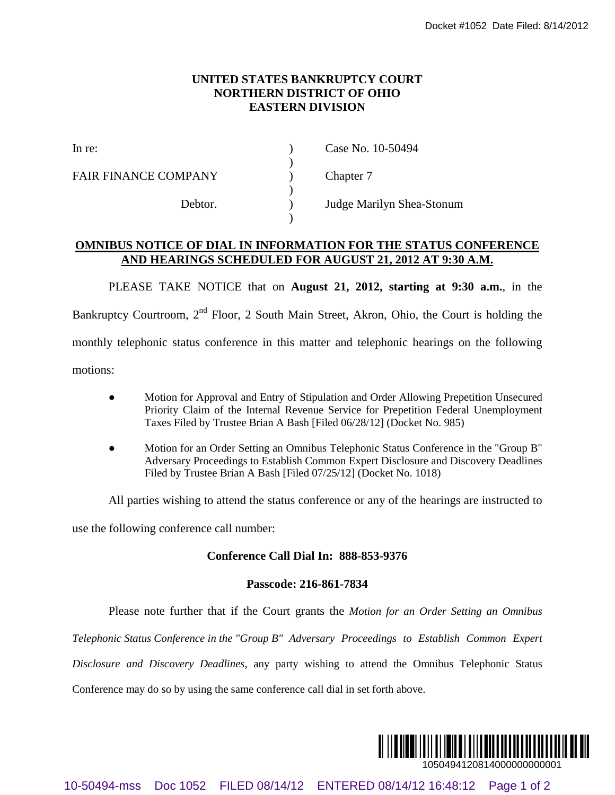## **UNITED STATES BANKRUPTCY COURT NORTHERN DISTRICT OF OHIO EASTERN DIVISION**

)

)

)

FAIR FINANCE COMPANY (a) Chapter 7

In re: (a) Case No. 10-50494

Debtor. ) Judge Marilyn Shea-Stonum

## **OMNIBUS NOTICE OF DIAL IN INFORMATION FOR THE STATUS CONFERENCE AND HEARINGS SCHEDULED FOR AUGUST 21, 2012 AT 9:30 A.M.**

PLEASE TAKE NOTICE that on **August 21, 2012, starting at 9:30 a.m.**, in the Bankruptcy Courtroom, 2<sup>nd</sup> Floor, 2 South Main Street, Akron, Ohio, the Court is holding the monthly telephonic status conference in this matter and telephonic hearings on the following 10-6049 FIRED STATES BANKRUPTCY COURT<br>
10-70494-ms DISTRICT (COMPANY<br>
10-70494-ms<br>
10-70494-ms<br>
10-70494-ms<br>
10-80494-ms<br>
10-80494-ms<br>
20-70494-ms<br>
20-70494-ms<br>
20-70494-ms<br>
20-70494-ms<br>
20-70494-ms<br>
20-70494-ms<br>
20-70494

motions:

- Motion for Approval and Entry of Stipulation and Order Allowing Prepetition Unsecured Priority Claim of the Internal Revenue Service for Prepetition Federal Unemployment Taxes Filed by Trustee Brian A Bash [Filed 06/28/12] (Docket No. 985)
- Motion for an Order Setting an Omnibus Telephonic Status Conference in the "Group B" Adversary Proceedings to Establish Common Expert Disclosure and Discovery Deadlines Filed by Trustee Brian A Bash [Filed 07/25/12] (Docket No. 1018)

All parties wishing to attend the status conference or any of the hearings are instructed to

use the following conference call number:

## **Conference Call Dial In: 888-853-9376**

## **Passcode: 216-861-7834**

Please note further that if the Court grants the *Motion for an Order Setting an Omnibus* 

*Telephonic Status Conference in the "Group B" Adversary Proceedings to Establish Common Expert* 

*Disclosure and Discovery Deadlines*, any party wishing to attend the Omnibus Telephonic Status

Conference may do so by using the same conference call dial in set forth above.